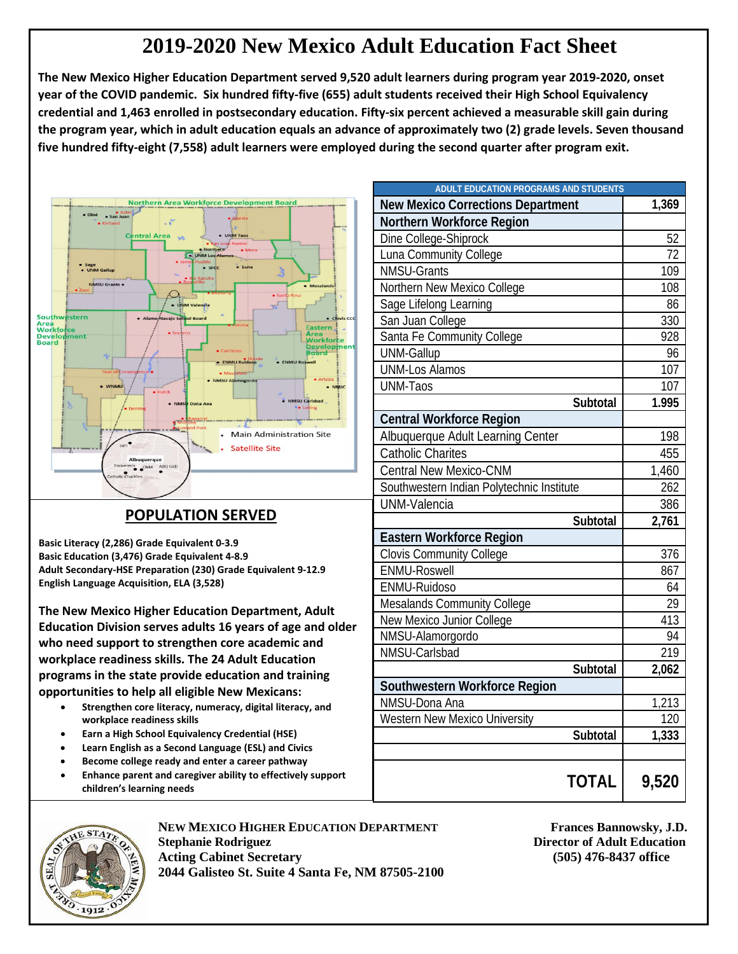## **2019-2020 New Mexico Adult Education Fact Sheet**

**The New Mexico Higher Education Department served 9,520 adult learners during program year 2019-2020, onset year of the COVID pandemic. Six hundred fifty-five (655) adult students received their High School Equivalency credential and 1,463 enrolled in postsecondary education. Fifty-six percent achieved a measurable skill gain during the program year, which in adult education equals an advance of approximately two (2) grade levels. Seven thousand five hundred fifty-eight (7,558) adult learners were employed during the second quarter after program exit.**



## **POPULATION SERVED**

**Basic Literacy (2,286) Grade Equivalent 0-3.9 Basic Education (3,476) Grade Equivalent 4-8.9 Adult Secondary-HSE Preparation (230) Grade Equivalent 9-12.9 English Language Acquisition, ELA (3,528)**

**The New Mexico Higher Education Department, Adult Education Division serves adults 16 years of age and older who need support to strengthen core academic and workplace readiness skills. The 24 Adult Education programs in the state provide education and training opportunities to help all eligible New Mexicans:**

- **Strengthen core literacy, numeracy, digital literacy, and workplace readiness skills**
- **Earn a High School Equivalency Credential (HSE)**
- **Learn English as a Second Language (ESL) and Civics**
- **Become college ready and enter a career pathway**
- **Enhance parent and caregiver ability to effectively support children's learning needs**

| ADULT EDUCATION PROGRAMS AND STUDENTS     |       |
|-------------------------------------------|-------|
| <b>New Mexico Corrections Department</b>  | 1,369 |
| Northern Workforce Region                 |       |
| Dine College-Shiprock                     | 52    |
| Luna Community College                    | 72    |
| <b>NMSU-Grants</b>                        | 109   |
| Northern New Mexico College               | 108   |
| Sage Lifelong Learning                    | 86    |
| San Juan College                          | 330   |
| Santa Fe Community College                | 928   |
| <b>UNM-Gallup</b>                         | 96    |
| <b>UNM-Los Alamos</b>                     | 107   |
| UNM-Taos                                  | 107   |
| Subtotal                                  | 1.995 |
| <b>Central Workforce Region</b>           |       |
| Albuquerque Adult Learning Center         | 198   |
| Catholic Charites                         | 455   |
| <b>Central New Mexico-CNM</b>             | 1,460 |
| Southwestern Indian Polytechnic Institute | 262   |
| UNM-Valencia                              | 386   |
| Subtotal                                  | 2,761 |
| <b>Eastern Workforce Region</b>           |       |
| <b>Clovis Community College</b>           | 376   |
| <b>ENMU-Roswell</b>                       | 867   |
| ENMU-Ruidoso                              | 64    |
| <b>Mesalands Community College</b>        | 29    |
| New Mexico Junior College                 | 413   |
| NMSU-Alamorgordo                          | 94    |
| NMSU-Carlsbad                             | 219   |
| Subtotal                                  | 2,062 |
| Southwestern Workforce Region             |       |
| NMSU-Dona Ana                             | 1,213 |
| Western New Mexico University             | 120   |
| Subtotal                                  | 1,333 |
|                                           |       |
| <b>TOTAL</b>                              | 9,520 |



**NEW MEXICO HIGHER EDUCATION DEPARTMENT FRAME FRAME FRAME FRAME STATES BANDOWSKY, J.D. Stephanie Rodriguez Director of Adult Education Acting Cabinet Secretary (505) 476-8437 office 2044 Galisteo St. Suite 4 Santa Fe, NM 87505-2100**